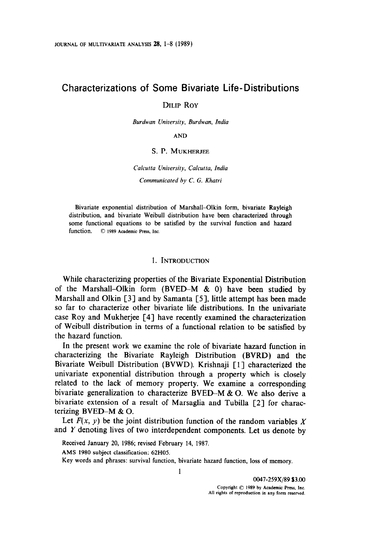# Characterizations of Some Bivariate Life-Distributions

# DILIP ROY

Burdwan Universify, Burdwan, India

AND

## S. P. MUKHERJEE

Calcutta University, Calcutta, India Communicated by C. G. Khatri

Bivariate exponential distribution of Marshall-Olkin form, bivariate Rayleigh distribution, and bivariate Weibull distribution have been characterized through some functional equations to be satisfied by the survival function and hazard function.  $\circ$  1989 Academic Press, Inc.

### 1. INTRODUCTION

While characterizing properties of the Bivariate Exponential Distribution of the Marshall-Olkin form (BVED-M & 0) have been studied by Marshall and Olkin [3] and by Samanta [S], little attempt has been made so far to characterize other bivariate life distributions. In the univariate case Roy and Mukherjee [4] have recently examined the characterization of Weibull distribution in terms of a functional relation to be satisfied by the hazard function.

In the present work we examine the role of bivariate hazard function in characterizing the Bivariate Rayleigh Distribution (BVRD) and the Bivariate Weibull Distribution (BVWD). Krishnaji [I] characterized the univariate exponential distribution through a property which is closely related to the lack of memory property. We examine a corresponding bivariate generalization to characterize  $BVED-M & O$ . We also derive a bivariate extension of a result of Marsaglia and Tubilla [2] for characterizing BVED-M & 0.

Let  $F(x, y)$  be the joint distribution function of the random variables X and Y denoting lives of two interdependent components. Let us denote by

Received January 20, 1986; revised February 14, 1987.

AMS 1980 subject classitication: 62HOS.

Key words and phrases: survival function, bivariate hazard function, loss of memory.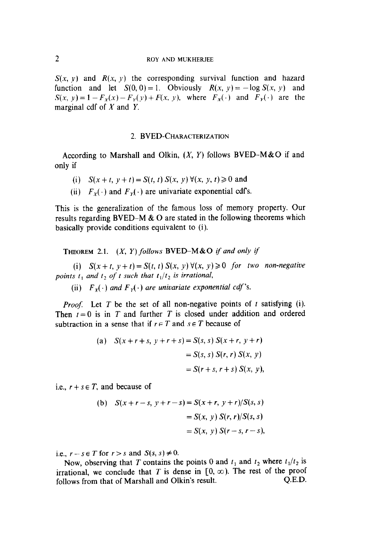$S(x, y)$  and  $R(x, y)$  the corresponding survival function and hazard function and let  $S(0, 0) = 1$ . Obviously  $R(x, y) = -\log S(x, y)$  and  $S(x, y) = 1 - F_x(x) - F_y(y) + F(x, y)$ , where  $F_x(\cdot)$  and  $F_y(\cdot)$  are the marginal cdf of  $X$  and  $Y$ .

# 2. BVED-CHARACTERIZATION

According to Marshall and Olkin,  $(X, Y)$  follows BVED-M&O if and only if

- (i)  $S(x+t, y+t) = S(t, t) S(x, y) \forall (x, y, t) \ge 0$  and
- (ii)  $F_v(\cdot)$  and  $F_v(\cdot)$  are univariate exponential cdf's.

This is the generalization of the famous loss of memory property. Our results regarding BVED-M  $\&$  O are stated in the following theorems which basically provide conditions equivalent to (i).

**THEOREM** 2.1.  $(X, Y)$  follows BVED-M&O if and only if

(i)  $S(x + t, y + t) = S(t, t) S(x, y) \forall (x, y) \ge 0$  for two non-negative points t, and t<sub>2</sub> of t such that  $t_1/t_2$  is irrational,

(ii)  $F_Y(\cdot)$  and  $F_Y(\cdot)$  are univariate exponential cdf's.

*Proof.* Let T be the set of all non-negative points of t satisfying (i). Then  $t=0$  is in T and further T is closed under addition and ordered subtraction in a sense that if  $r \in T$  and  $s \in T$  because of

(a) 
$$
S(x+r+s, y+r+s) = S(s, s) S(x+r, y+r)
$$
  
=  $S(s, s) S(r, r) S(x, y)$   
=  $S(r+s, r+s) S(x, y)$ ,

i.e.,  $r + s \in T$ , and because of

(b) 
$$
S(x+r-s, y+r-s) = S(x+r, y+r)/S(s, s)
$$
  
=  $S(x, y) S(r, r)/S(s, s)$   
=  $S(x, y) S(r-s, r-s)$ ,

i.e.,  $r-s \in T$  for  $r > s$  and  $S(s, s) \neq 0$ .  $n, r-s \in I$  for  $r > s$  and  $S(s, s) \neq 0$ .

Now, observing that T contains the points  $\sigma$  and  $t_1$  and  $t_2$  where  $t_1/t_2$ irrational, we conclude that T is dense in  $[0, \infty)$ . The rest of the proof follows from that of Marshall and Olkin's result. Q.E.D.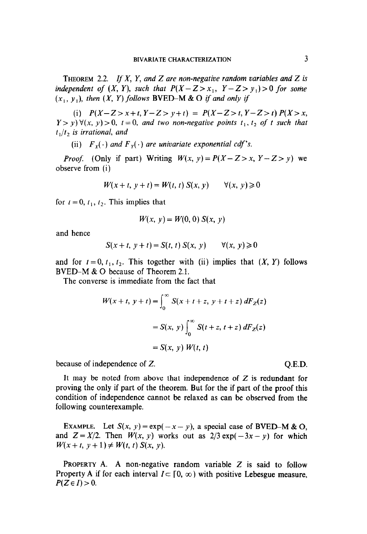THEOREM 2.2. If X, Y, and Z are non-negative random variables and Z is independent of  $(X, Y)$ , such that  $P(X - Z > x_1, Y - Z > y_1) > 0$  for some  $(x_1, y_1)$ , then  $(X, Y)$  follows BVED-M & O if and only if

(i)  $P(X-Z>x+t, Y-Z>y+t) = P(X-Z>t, Y-Z>t) P(X>x, Y-z>x,t)$  $Y > y$ )  $\forall (x, y) > 0$ ,  $t = 0$ , and two non-negative points  $t_1, t_2$  of t such that  $t_1/t_2$  is irrational, and

(ii)  $F_x(\cdot)$  and  $F_y(\cdot)$  are univariate exponential cdf's.

*Proof.* (Only if part) Writing  $W(x, y) = P(X - Z > x, Y - Z > y)$  we observe from (i)

$$
W(x+t, y+t) = W(t, t) S(x, y) \qquad \forall (x, y) \ge 0
$$

for  $t = 0$ ,  $t_1$ ,  $t_2$ . This implies that

$$
W(x, y) = W(0, 0) S(x, y)
$$

and hence

$$
S(x+t, y+t) = S(t, t) S(x, y) \qquad \forall (x, y) \ge 0
$$

and for  $t = 0, t_1, t_2$ . This together with (ii) implies that  $(X, Y)$  follows BVED-M & 0 because of Theorem 2.1.

The converse is immediate from the fact that

$$
W(x+t, y+t) = \int_0^{\infty} S(x+t+z, y+t+z) dF_z(z)
$$
  
=  $S(x, y) \int_0^{\infty} S(t+z, t+z) dF_z(z)$   
=  $S(x, y) W(t, t)$ 

because of independence of Z. C. Q.E.D.

It may be noted from above that independence of  $Z$  is redundant for  $Z$  is redundant for  $Z$  is redundant for  $Z$  $\mu$  inay be noted from above that independence of  $\boldsymbol{\Sigma}$  is redundant for proving the only if part of the theorem. But for the if part of the proof this condition of independence cannot be relaxed as can be observed from the following counterexample.

EXAMPLE. Let  $S(x, y) = \exp(-x - y)$ , a special case of BVED-M & O. and  $Z = X/2$ . Then  $W(x, y)$  works out as  $2/3 \exp(-3x - y)$  for which  $W(x + t, y + 1) \neq W(t, t) S(x, y)$ .

PROPERTY A. A non-negative random variable  $Z$  is said to follow Property A if for each interval  $I \subset [0, \infty)$  with positive Lebesgue measure,  $P(Z \in I) > 0.$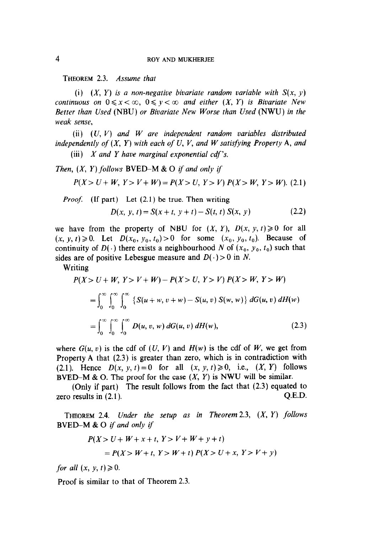THEOREM 2.3. Assume that

(i)  $(X, Y)$  is a non-negative bivariate random variable with  $S(x, y)$ continuous on  $0 \le x < \infty$ ,  $0 \le y < \infty$  and either  $(X, Y)$  is Bivariate New Better than Used (NBU) or Bivariate New Worse than Used (NWU) in the weak sense,

(ii)  $(U, V)$  and W are independent random variables distributed independently of  $(X, Y)$  with each of U, V, and W satisfying Property A, and (iii)  $X$  and  $Y$  have marginal exponential cdf's.

Then,  $(X, Y)$  follows BVED-M & O if and only if

$$
P(X > U + W, Y > V + W) = P(X > U, Y > V) P(X > W, Y > W).
$$
 (2.1)

Proof: (If part) Let (2.1) be true. Then writing

$$
D(x, y, t) = S(x + t, y + t) - S(t, t) S(x, y)
$$
 (2.2)

we have from the property of NBU for  $(X, Y)$ ,  $D(x, y, t) \ge 0$  for all  $(x, y, t) \ge 0$ . Let  $D(x_0, y_0, t_0) > 0$  for some  $(x_0, y_0, t_0)$ . Because of continuity of  $D(\cdot)$  there exists a neighbourhood N of  $(x_0, y_0, t_0)$  such that sides are of positive Lebesgue measure and  $D(\cdot) > 0$  in N.

Writing

$$
P(X > U + W, Y > V + W) - P(X > U, Y > V) P(X > W, Y > W)
$$
  
=  $\int_0^{\infty} \int_0^{\infty} \int_0^{\infty} \{S(u + w, v + w) - S(u, v) S(w, w)\} dG(u, v) dH(w)$   
=  $\int_0^{\infty} \int_0^{\infty} \int_0^{\infty} D(u, v, w) dG(u, v) dH(w),$  (2.3)

where  $G(u, v)$  is the cdf of  $(U, V)$  and  $H(w)$  is the cdf of W, we get from Property A that (2.3) is greater than zero, which is in contradiction with Property A that  $(z,3)$  is greater than zero, which is in contradiction with  $B(X, Y) = 0$  for the proof for the case (X, Y) is not the case of the similar similar similar similar.  $D-M \propto U$ . The proof for the case  $(A, I)$  is two will be similar.

(Only a part) The result follows from the fact that  $(2.5)$  equated to

 $T$  Theorem 2.4. Under the setup as in Theorem 2.3, (X, Y) follows  $T$  $HECREM$  2.4.  $Under$  ine

$$
P(X > U + W + x + t, Y > V + W + y + t)
$$

$$
= P(X > W + t, Y > W + t) P(X > U + x, Y > V + y)
$$

for all  $(x, y, t) \ge 0$ .

Proof is similar to that of Theorem 2.3.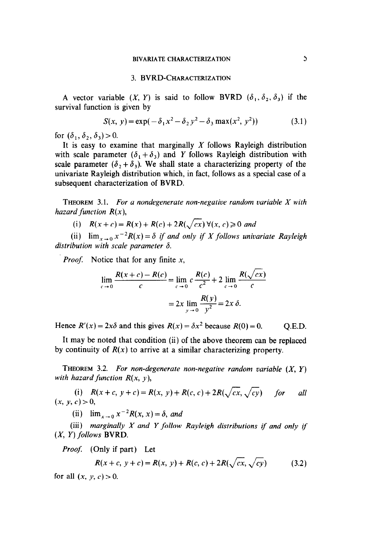### 3. BVRD-CHARACTERIZATION

A vector variable  $(X, Y)$  is said to follow BVRD  $(\delta_1, \delta_2, \delta_3)$  if the survival function is given by

$$
S(x, y) = \exp(-\delta_1 x^2 - \delta_2 y^2 - \delta_3 \max(x^2, y^2))
$$
 (3.1)

for  $(\delta_1, \delta_2, \delta_3)$  > 0.

It is easy to examine that marginally  $X$  follows Rayleigh distribution with scale parameter  $(\delta_1 + \delta_3)$  and Y follows Rayleigh distribution with scale parameter  $(\delta_2 + \delta_3)$ . We shall state a characterizing property of the univariate Rayleigh distribution which, in fact, follows as a special case of a subsequent characterization of BVRD.

**THEOREM** 3.1. For a nondegenerate non-negative random variable  $X$  with hazard function  $R(x)$ ,

(i)  $R(x+c) = R(x) + R(c) + 2R(\sqrt{cx}) \forall (x, c) \ge 0$  and

(ii)  $\lim_{x\to 0} x^{-2}R(x) = \delta$  if and only if X follows univariate Rayleigh distribution with scale parameter  $\delta$ .

*Proof.* Notice that for any finite  $x$ ,

$$
\lim_{c \to 0} \frac{R(x+c) - R(c)}{c} = \lim_{c \to 0} c \frac{R(c)}{c^2} + 2 \lim_{c \to 0} \frac{R(\sqrt{cx})}{c}
$$

$$
= 2x \lim_{y \to 0} \frac{R(y)}{y^2} = 2x \delta.
$$

Hence  $R'(x) = 2x\delta$  and this gives  $R(x) = \delta x^2$  because  $R(0) = 0$ . Q.E.D.

It may be noted that condition (ii) of the above theorem can be replaced by continuity of  $R(x)$  to arrive at a similar characterizing property.

THEOREM 3.2. For non-degenerate non-negative random variable  $(X, Y)$ with hazard function  $R(x, y)$ ,

(i)  $R(x+c, y+c) = R(x, y) + R(c, c) + 2R(\sqrt{cx}, \sqrt{cy})$  for all  $(x, y, c) > 0$ ,

(ii)  $\lim_{x \to 0} x^{-2}R(x, x) = \delta$ , and

(iii) marginally  $X$  and  $Y$  follow Rayleigh distributions if and only if  $(X, Y)$  follows BVRD.

Proof: (Only if part) Let

$$
R(x + c, y + c) = R(x, y) + R(c, c) + 2R(\sqrt{cx}, \sqrt{cy})
$$
 (3.2)

for all  $(x, y, c) > 0$ .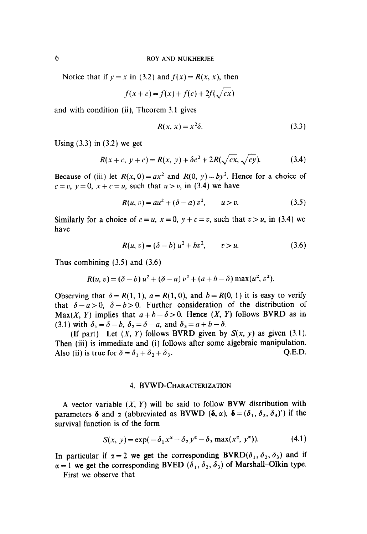Notice that if  $y = x$  in (3.2) and  $f(x) = R(x, x)$ , then

$$
f(x+c) = f(x) + f(c) + 2f(\sqrt{cx})
$$

and with condition (ii), Theorem 3.1 gives

$$
R(x, x) = x^2 \delta. \tag{3.3}
$$

Using  $(3.3)$  in  $(3.2)$  we get

$$
R(x + c, y + c) = R(x, y) + \delta c^2 + 2R(\sqrt{cx}, \sqrt{cy}).
$$
 (3.4)

Because of (iii) let  $R(x, 0) = ax^2$  and  $R(0, y) = by^2$ . Hence for a choice of  $c=v, y=0, x+c=u$ , such that  $u>v$ , in (3.4) we have

$$
R(u, v) = au^2 + (\delta - a) v^2, \qquad u > v. \tag{3.5}
$$

Similarly for a choice of  $c = u$ ,  $x = 0$ ,  $y + c = v$ , such that  $v > u$ , in (3.4) we have

$$
R(u, v) = (\delta - b) u^2 + bv^2, \qquad v > u. \tag{3.6}
$$

Thus combining  $(3.5)$  and  $(3.6)$ 

$$
R(u, v) = (\delta - b) u^{2} + (\delta - a) v^{2} + (a + b - \delta) \max(u^{2}, v^{2}).
$$

Observing that  $\delta = R(1, 1)$ ,  $a = R(1, 0)$ , and  $b = R(0, 1)$  it is easy to verify that  $\delta - a > 0$ ,  $\delta - b > 0$ . Further consideration of the distribution of Max(X, Y) implies that  $a + b - \delta > 0$ . Hence  $(X, Y)$  follows BVRD as in (3.1) with  $\delta_1 = \delta - b$ ,  $\delta_2 = \delta - a$ , and  $\delta_3 = a + b - \delta$ .

(If part) Let  $(X, Y)$  follows BVRD given by  $S(x, y)$  as given (3.1). Then (iii) is immediate and (i) follows after some algebraic manipulation. Also (ii) is true for  $\delta = \delta_1 + \delta_2 + \delta_3$ . Q.E.D.

## 4. BVWD-CHARACTERIZATION

A vector variable  $(X, Y)$  will be said to follow BVW distribution with parameters  $\delta$  and  $\alpha$  (abbreviated as BVWD ( $\delta$ ,  $\alpha$ ),  $\delta = (\delta_1, \delta_2, \delta_3)'$ ) if the survival function is of the form

$$
S(x, y) = \exp(-\delta_1 x^{\alpha} - \delta_2 y^{\alpha} - \delta_3 \max(x^{\alpha}, y^{\alpha})).
$$
 (4.1)

In particular if  $\alpha = 2$  we get the corresponding BVRD( $\delta_1$ ,  $\delta_2$ ,  $\delta_3$ ) and if  $\alpha = 1$  we get the corresponding BVED  $(\delta_1, \delta_2, \delta_3)$  of Marshall-Olkin type.

First we observe that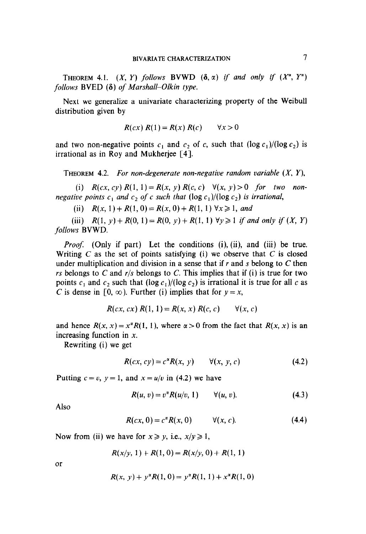**THEOREM 4.1.**  $(X, Y)$  follows **BVWD**  $(\delta, \alpha)$  if and only if  $(X^{\alpha}, Y^{\alpha})$ follows BVED  $(\delta)$  of Marshall–Olkin type.

Next we generalize a univariate characterizing property of the Weibull distribution given by

$$
R(cx) R(1) = R(x) R(c) \qquad \forall x > 0
$$

and two non-negative points  $c_1$  and  $c_2$  of c, such that  $(\log c_1)/(\log c_2)$  is irrational as in Roy and Mukherjee [4].

THEOREM 4.2. For non-degenerate non-negative random variable  $(X, Y)$ ,

(i)  $R(cx, cy) R(1, 1) = R(x, y) R(c, c) \quad \forall (x, y) > 0$  for two nonnegative points  $c_1$  and  $c_2$  of c such that  $(\log c_1)/(\log c_2)$  is irrational,

(ii)  $R(x, 1) + R(1, 0) = R(x, 0) + R(1, 1) \forall x \ge 1$ , and

(iii)  $R(1, y) + R(0, 1) = R(0, y) + R(1, 1) \,\forall y \geq 1$  if and only if  $(X, Y)$ follows BVWD.

*Proof.* (Only if part) Let the conditions  $(i)$ ,  $(ii)$ , and  $(iii)$  be true. Writing  $C$  as the set of points satisfying (i) we observe that  $C$  is closed under multiplication and division in a sense that if  $r$  and  $s$  belong to  $C$  then rs belongs to C and  $r/s$  belongs to C. This implies that if (i) is true for two points  $c_1$  and  $c_2$  such that  $(\log c_1)/(\log c_2)$  is irrational it is true for all c as C is dense in  $[0, \infty)$ . Further (i) implies that for  $y = x$ ,

$$
R(cx, cx) R(1, 1) = R(x, x) R(c, c) \qquad \forall (x, c)
$$

and hence  $R(x, x) = x^{\alpha} R(1, 1)$ , where  $\alpha > 0$  from the fact that  $R(x, x)$  is an increasing function in  $x$ .

Rewriting (i) we get

$$
R(cx, cy) = c\alphaR(x, y) \qquad \forall (x, y, c) \tag{4.2}
$$

Putting  $c = v$ ,  $y = 1$ , and  $x = u/v$  in (4.2) we have

$$
R(u, v) = v^{\alpha} R(u/v, 1) \qquad \forall (u, v). \qquad (4.3)
$$

Also

$$
R(cx, 0) = c^{\alpha}R(x, 0) \qquad \forall (x, c). \qquad (4.4)
$$

Now from (ii) we have for  $x \ge y$ , i.e.,  $x/y \ge 1$ ,

$$
R(x/y, 1) + R(1, 0) = R(x/y, 0) + R(1, 1)
$$

or

$$
R(x, y) + y^{\alpha}R(1, 0) = y^{\alpha}R(1, 1) + x^{\alpha}R(1, 0)
$$